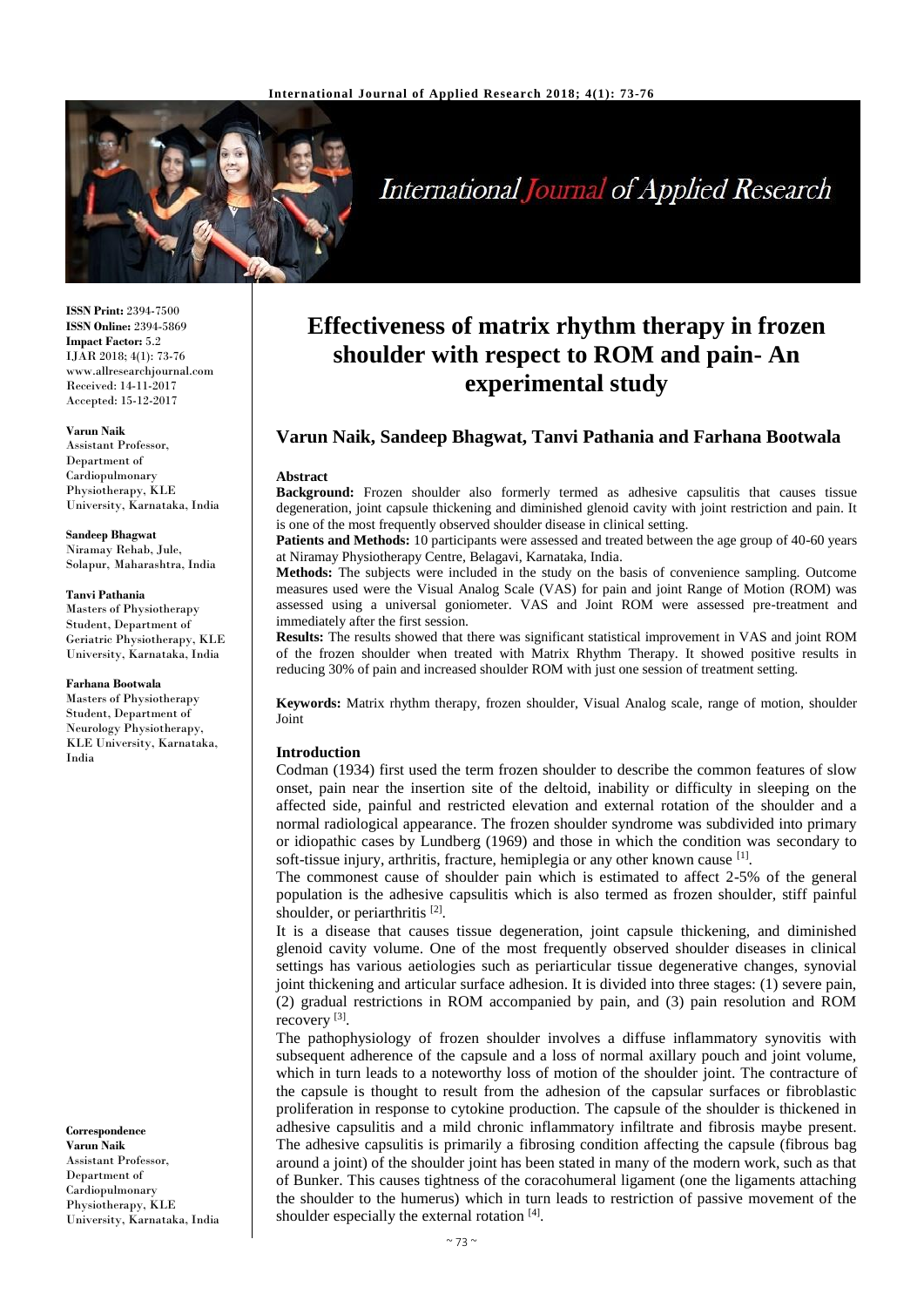

# **International Journal of Applied Research**

**ISSN Print:** 2394-7500 **ISSN Online:** 2394-5869 **Impact Factor:** 5.2 IJAR 2018; 4(1): 73-76 www.allresearchjournal.com Received: 14-11-2017 Accepted: 15-12-2017

#### **Varun Naik**

Assistant Professor, Department of Cardiopulmonary Physiotherapy, KLE University, Karnataka, India

#### **Sandeep Bhagwat**

Niramay Rehab, Jule, Solapur, Maharashtra, India

#### **Tanvi Pathania**

Masters of Physiotherapy Student, Department of Geriatric Physiotherapy, KLE University, Karnataka, India

#### **Farhana Bootwala**

Masters of Physiotherapy Student, Department of Neurology Physiotherapy, KLE University, Karnataka, India

**Correspondence Varun Naik** Assistant Professor, Department of Cardiopulmonary Physiotherapy, KLE University, Karnataka, India

## **Effectiveness of matrix rhythm therapy in frozen shoulder with respect to ROM and pain- An experimental study**

## **Varun Naik, Sandeep Bhagwat, Tanvi Pathania and Farhana Bootwala**

#### **Abstract**

**Background:** Frozen shoulder also formerly termed as adhesive capsulitis that causes tissue degeneration, joint capsule thickening and diminished glenoid cavity with joint restriction and pain. It is one of the most frequently observed shoulder disease in clinical setting.

**Patients and Methods:** 10 participants were assessed and treated between the age group of 40-60 years at Niramay Physiotherapy Centre, Belagavi, Karnataka, India.

**Methods:** The subjects were included in the study on the basis of convenience sampling. Outcome measures used were the Visual Analog Scale (VAS) for pain and joint Range of Motion (ROM) was assessed using a universal goniometer. VAS and Joint ROM were assessed pre-treatment and immediately after the first session.

**Results:** The results showed that there was significant statistical improvement in VAS and joint ROM of the frozen shoulder when treated with Matrix Rhythm Therapy. It showed positive results in reducing 30% of pain and increased shoulder ROM with just one session of treatment setting.

**Keywords:** Matrix rhythm therapy, frozen shoulder, Visual Analog scale, range of motion, shoulder Joint

#### **Introduction**

Codman (1934) first used the term frozen shoulder to describe the common features of slow onset, pain near the insertion site of the deltoid, inability or difficulty in sleeping on the affected side, painful and restricted elevation and external rotation of the shoulder and a normal radiological appearance. The frozen shoulder syndrome was subdivided into primary or idiopathic cases by Lundberg (1969) and those in which the condition was secondary to soft-tissue injury, arthritis, fracture, hemiplegia or any other known cause <sup>[1]</sup>.

The commonest cause of shoulder pain which is estimated to affect 2-5% of the general population is the adhesive capsulitis which is also termed as frozen shoulder, stiff painful shoulder, or periarthritis [2].

It is a disease that causes tissue degeneration, joint capsule thickening, and diminished glenoid cavity volume. One of the most frequently observed shoulder diseases in clinical settings has various aetiologies such as periarticular tissue degenerative changes, synovial joint thickening and articular surface adhesion. It is divided into three stages: (1) severe pain, (2) gradual restrictions in ROM accompanied by pain, and (3) pain resolution and ROM recovery<sup>[3]</sup>.

The pathophysiology of frozen shoulder involves a diffuse inflammatory synovitis with subsequent adherence of the capsule and a loss of normal axillary pouch and joint volume, which in turn leads to a noteworthy loss of motion of the shoulder joint. The contracture of the capsule is thought to result from the adhesion of the capsular surfaces or fibroblastic proliferation in response to cytokine production. The capsule of the shoulder is thickened in adhesive capsulitis and a mild chronic inflammatory infiltrate and fibrosis maybe present. The adhesive capsulitis is primarily a fibrosing condition affecting the capsule (fibrous bag around a joint) of the shoulder joint has been stated in many of the modern work, such as that of Bunker. This causes tightness of the coracohumeral ligament (one the ligaments attaching the shoulder to the humerus) which in turn leads to restriction of passive movement of the shoulder especially the external rotation [4].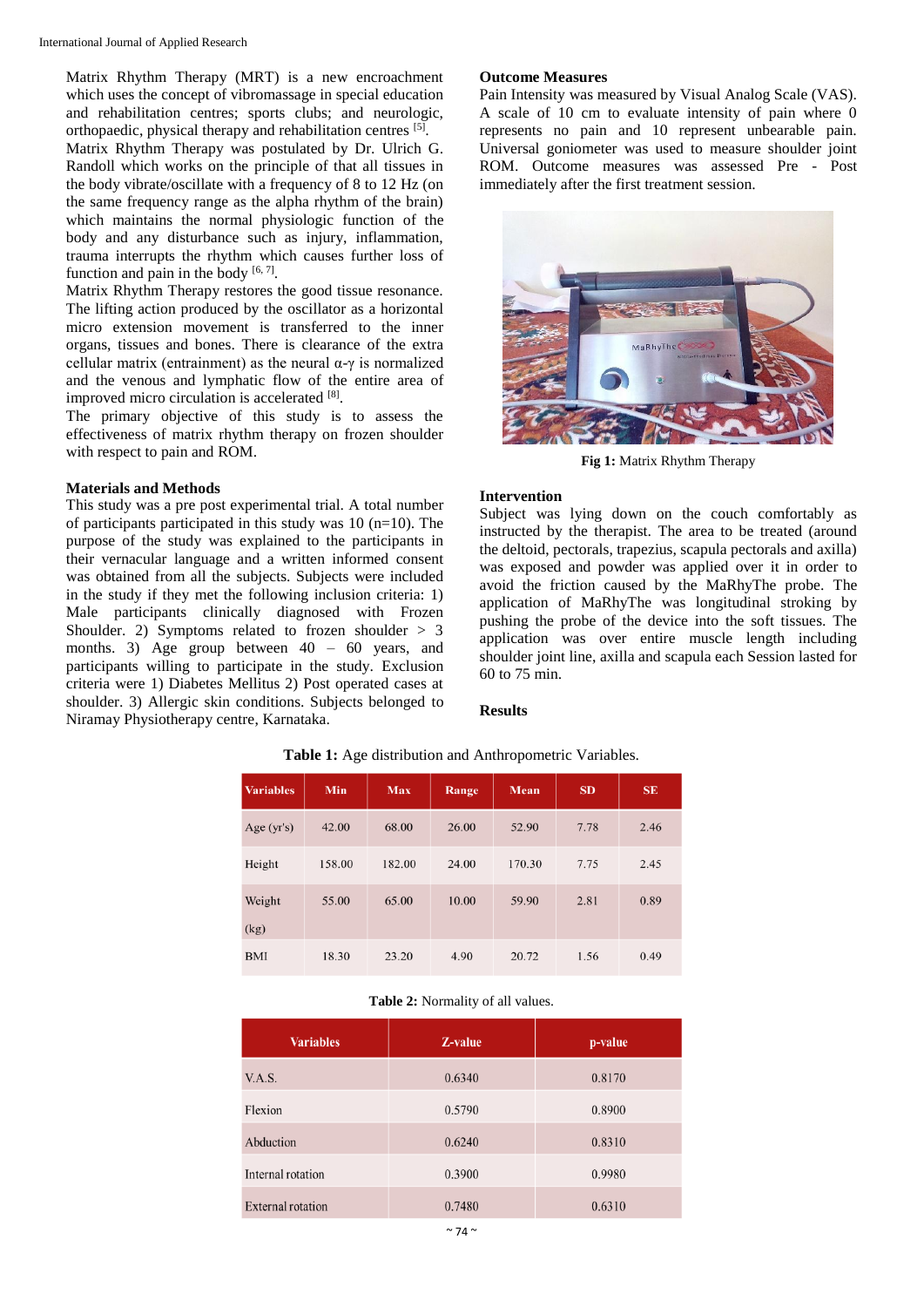Matrix Rhythm Therapy (MRT) is a new encroachment which uses the concept of vibromassage in special education and rehabilitation centres; sports clubs; and neurologic, orthopaedic, physical therapy and rehabilitation centres [5]. Matrix Rhythm Therapy was postulated by Dr. Ulrich G. Randoll which works on the principle of that all tissues in

the body vibrate/oscillate with a frequency of 8 to 12 Hz (on the same frequency range as the alpha rhythm of the brain) which maintains the normal physiologic function of the body and any disturbance such as injury, inflammation, trauma interrupts the rhythm which causes further loss of function and pain in the body  $[6, 7]$ .

Matrix Rhythm Therapy restores the good tissue resonance. The lifting action produced by the oscillator as a horizontal micro extension movement is transferred to the inner organs, tissues and bones. There is clearance of the extra cellular matrix (entrainment) as the neural  $\alpha$ -γ is normalized and the venous and lymphatic flow of the entire area of improved micro circulation is accelerated [8].

The primary objective of this study is to assess the effectiveness of matrix rhythm therapy on frozen shoulder with respect to pain and ROM.

## **Materials and Methods**

This study was a pre post experimental trial. A total number of participants participated in this study was  $10$  (n=10). The purpose of the study was explained to the participants in their vernacular language and a written informed consent was obtained from all the subjects. Subjects were included in the study if they met the following inclusion criteria: 1) Male participants clinically diagnosed with Frozen Shoulder. 2) Symptoms related to frozen shoulder  $> 3$ months. 3) Age group between  $40 - 60$  years, and participants willing to participate in the study. Exclusion criteria were 1) Diabetes Mellitus 2) Post operated cases at shoulder. 3) Allergic skin conditions. Subjects belonged to Niramay Physiotherapy centre, Karnataka.

## **Outcome Measures**

Pain Intensity was measured by Visual Analog Scale (VAS). A scale of 10 cm to evaluate intensity of pain where 0 represents no pain and 10 represent unbearable pain. Universal goniometer was used to measure shoulder joint ROM. Outcome measures was assessed Pre - Post immediately after the first treatment session.



**Fig 1:** Matrix Rhythm Therapy

#### **Intervention**

Subject was lying down on the couch comfortably as instructed by the therapist. The area to be treated (around the deltoid, pectorals, trapezius, scapula pectorals and axilla) was exposed and powder was applied over it in order to avoid the friction caused by the MaRhyThe probe. The application of MaRhyThe was longitudinal stroking by pushing the probe of the device into the soft tissues. The application was over entire muscle length including shoulder joint line, axilla and scapula each Session lasted for 60 to 75 min.

### **Results**

| <b>Variables</b> | Min    | <b>Max</b> | Range | Mean   | <b>SD</b> | <b>SE</b> |
|------------------|--------|------------|-------|--------|-----------|-----------|
| Age $(yr's)$     | 42.00  | 68.00      | 26.00 | 52.90  | 7.78      | 2.46      |
| Height           | 158.00 | 182.00     | 24.00 | 170.30 | 7.75      | 2.45      |
| Weight<br>(kg)   | 55.00  | 65.00      | 10.00 | 59.90  | 2.81      | 0.89      |
| <b>BMI</b>       | 18.30  | 23.20      | 4.90  | 20.72  | 1.56      | 0.49      |

**Table 1:** Age distribution and Anthropometric Variables.

#### **Table 2:** Normality of all values.

| <b>Variables</b>         | Z-value | p-value |
|--------------------------|---------|---------|
| V.A.S.                   | 0.6340  | 0.8170  |
| Flexion                  | 0.5790  | 0.8900  |
| Abduction                | 0.6240  | 0.8310  |
| Internal rotation        | 0.3900  | 0.9980  |
| <b>External rotation</b> | 0.7480  | 0.6310  |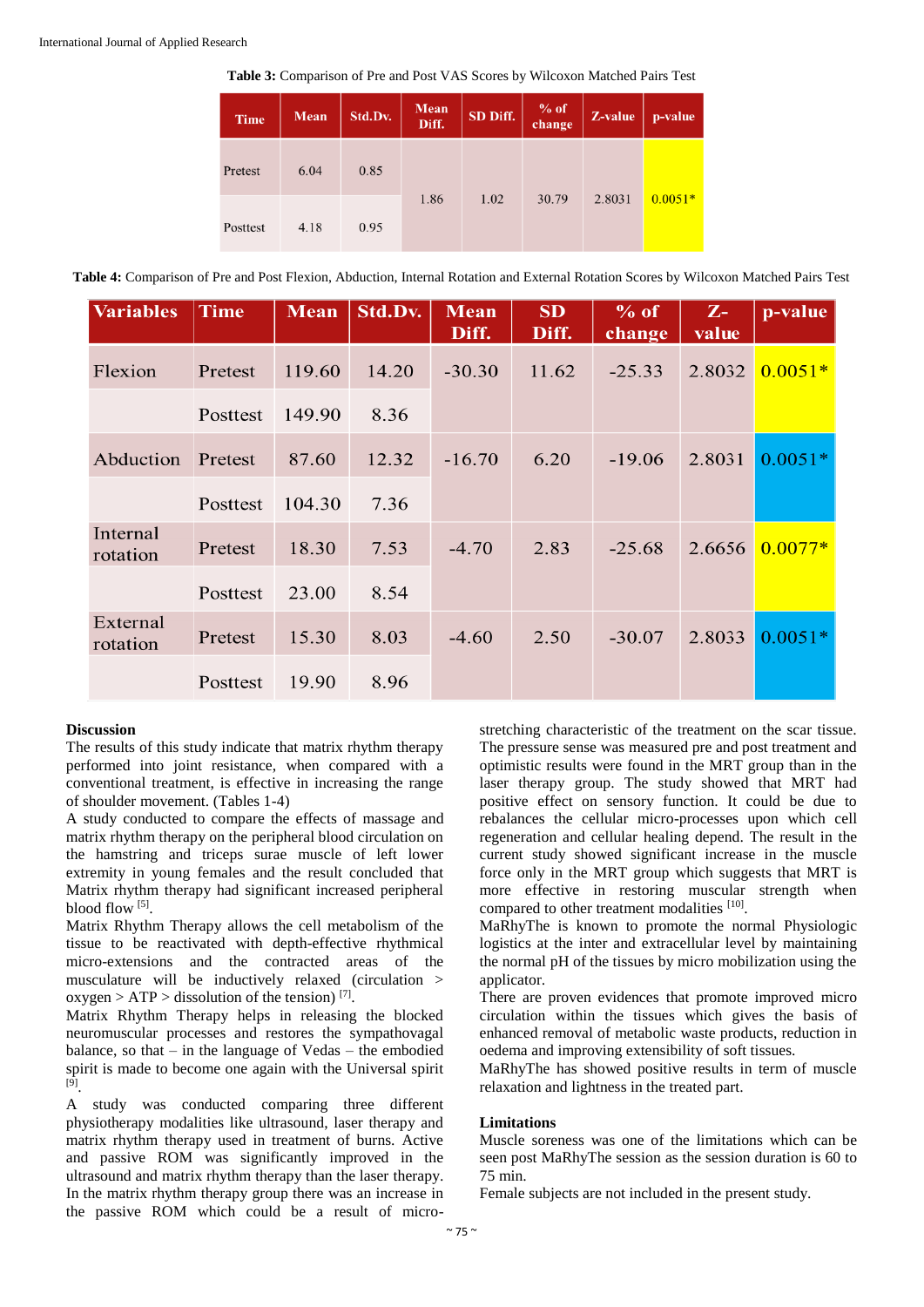| <b>Time</b> | Mean | Std.Dv. | <b>Mean</b><br>Diff. | SD Diff. | % of<br>change | Z-value | p-value   |
|-------------|------|---------|----------------------|----------|----------------|---------|-----------|
| Pretest     | 6.04 | 0.85    |                      | 1.02     | 30.79          | 2.8031  | $0.0051*$ |
| Posttest    | 4.18 | 0.95    | 1.86                 |          |                |         |           |

**Table 4:** Comparison of Pre and Post Flexion, Abduction, Internal Rotation and External Rotation Scores by Wilcoxon Matched Pairs Test

| <b>Variables</b>     | Time     | <b>Mean</b> | Std.Dv. | <b>Mean</b><br>Diff. | <b>SD</b><br>Diff. | % of<br>change | $Z-$<br>value | p-value   |
|----------------------|----------|-------------|---------|----------------------|--------------------|----------------|---------------|-----------|
| Flexion              | Pretest  | 119.60      | 14.20   | $-30.30$             | 11.62              | $-25.33$       | 2.8032        | $0.0051*$ |
|                      | Posttest | 149.90      | 8.36    |                      |                    |                |               |           |
| Abduction            | Pretest  | 87.60       | 12.32   | $-16.70$             | 6.20               | $-19.06$       | 2.8031        | $0.0051*$ |
|                      | Posttest | 104.30      | 7.36    |                      |                    |                |               |           |
| Internal<br>rotation | Pretest  | 18.30       | 7.53    | $-4.70$              | 2.83               | $-25.68$       | 2.6656        | $0.0077*$ |
|                      | Posttest | 23.00       | 8.54    |                      |                    |                |               |           |
| External<br>rotation | Pretest  | 15.30       | 8.03    | $-4.60$              | 2.50               | $-30.07$       | 2.8033        | $0.0051*$ |
|                      | Posttest | 19.90       | 8.96    |                      |                    |                |               |           |

#### **Discussion**

The results of this study indicate that matrix rhythm therapy performed into joint resistance, when compared with a conventional treatment, is effective in increasing the range of shoulder movement. (Tables 1-4)

A study conducted to compare the effects of massage and matrix rhythm therapy on the peripheral blood circulation on the hamstring and triceps surae muscle of left lower extremity in young females and the result concluded that Matrix rhythm therapy had significant increased peripheral blood flow [5].

Matrix Rhythm Therapy allows the cell metabolism of the tissue to be reactivated with depth-effective rhythmical micro-extensions and the contracted areas of the musculature will be inductively relaxed (circulation > oxygen >  $ATP$  > dissolution of the tension) [7].

Matrix Rhythm Therapy helps in releasing the blocked neuromuscular processes and restores the sympathovagal balance, so that – in the language of Vedas – the embodied spirit is made to become one again with the Universal spirit <sup>[9]</sup>.

A study was conducted comparing three different physiotherapy modalities like ultrasound, laser therapy and matrix rhythm therapy used in treatment of burns. Active and passive ROM was significantly improved in the ultrasound and matrix rhythm therapy than the laser therapy. In the matrix rhythm therapy group there was an increase in the passive ROM which could be a result of microstretching characteristic of the treatment on the scar tissue. The pressure sense was measured pre and post treatment and optimistic results were found in the MRT group than in the laser therapy group. The study showed that MRT had positive effect on sensory function. It could be due to rebalances the cellular micro-processes upon which cell regeneration and cellular healing depend. The result in the current study showed significant increase in the muscle force only in the MRT group which suggests that MRT is more effective in restoring muscular strength when compared to other treatment modalities [10].

MaRhyThe is known to promote the normal Physiologic logistics at the inter and extracellular level by maintaining the normal pH of the tissues by micro mobilization using the applicator.

There are proven evidences that promote improved micro circulation within the tissues which gives the basis of enhanced removal of metabolic waste products, reduction in oedema and improving extensibility of soft tissues.

MaRhyThe has showed positive results in term of muscle relaxation and lightness in the treated part.

#### **Limitations**

Muscle soreness was one of the limitations which can be seen post MaRhyThe session as the session duration is 60 to 75 min.

Female subjects are not included in the present study.